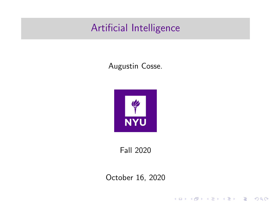## <span id="page-0-0"></span>Artificial Intelligence

#### Augustin Cosse.



Fall 2020

October 16, 2020

K ロ X イロ X K ミ X K ミ X ミ → S V Q Q Q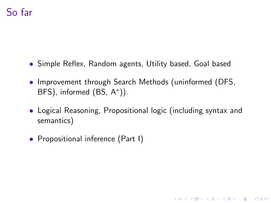- Simple Reflex, Random agents, Utility based, Goal based
- Improvement through Search Methods (uninformed (DFS, BFS), informed (BS, A\*)).
- Logical Reasoning, Propositional logic (including syntax and semantics)

**KORKAR KERKER E VOOR** 

• Propositional inference (Part I)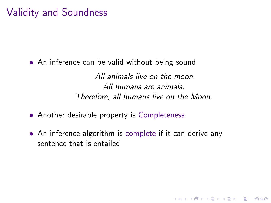### Validity and Soundness

• An inference can be valid without being sound

All animals live on the moon. All humans are animals. Therefore, all humans live on the Moon.

**KORK ERKER ADE YOUR** 

- Another desirable property is Completeness.
- An inference algorithm is complete if it can derive any sentence that is entailed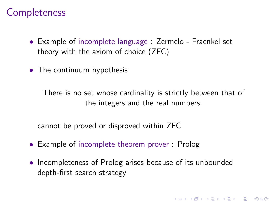#### **Completeness**

- Example of incomplete language : Zermelo Fraenkel set theory with the axiom of choice (ZFC)
- The continuum hypothesis

There is no set whose cardinality is strictly between that of the integers and the real numbers.

cannot be proved or disproved within ZFC

- Example of incomplete theorem prover : Prolog
- Incompleteness of Prolog arises because of its unbounded depth-first search strategy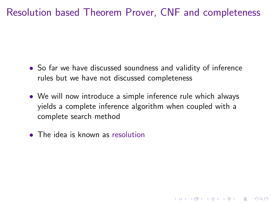- So far we have discussed soundness and validity of inference rules but we have not discussed completeness
- We will now introduce a simple inference rule which always yields a complete inference algorithm when coupled with a complete search method

**K ロ ▶ K @ ▶ K 할 X X 할 X 및 할 X X Q Q O** 

• The idea is known as resolution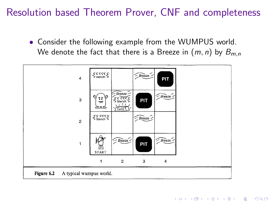• Consider the following example from the WUMPUS world. We denote the fact that there is a Breeze in  $(m, n)$  by  $B_{m,n}$ 

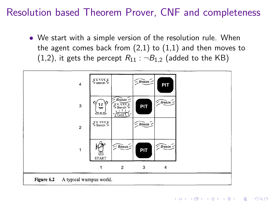• We start with a simple version of the resolution rule. When the agent comes back from  $(2,1)$  to  $(1,1)$  and then moves to (1,2), it gets the percept  $R_{11}$  :  $\neg B_{1,2}$  (added to the KB)

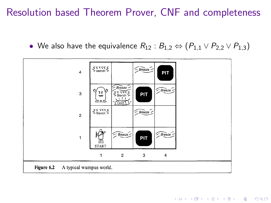• We also have the equivalence  $R_{12}: B_{1,2} \Leftrightarrow (P_{1,1} \vee P_{2,2} \vee P_{1,3})$ 

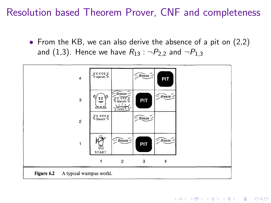• From the KB, we can also derive the absence of a pit on (2,2) and (1,3). Hence we have  $R_{13}$  :  $\neg P_{2,2}$  and  $\neg P_{1,3}$ 

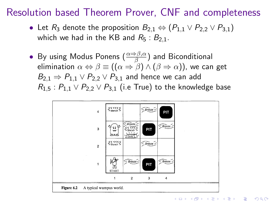- Let  $R_3$  denote the proposition  $B_{2,1} \Leftrightarrow (P_{1,1} \vee P_{2,2} \vee P_{3,1})$ which we had in the KB and  $R_5 : B_{2,1}$ .
- By using Modus Ponens  $(\frac{\alpha \Rightarrow \beta, \alpha}{\beta})$  and Biconditional elimination  $\alpha \Leftrightarrow \beta \equiv ((\alpha \Rightarrow \beta) \wedge (\beta \Rightarrow \alpha))$ , we can get  $B_{2,1} \Rightarrow P_{1,1} \vee P_{2,2} \vee P_{3,1}$  and hence we can add  $R_{1.5}$ :  $P_{1.1} \vee P_{2.2} \vee P_{3.1}$  (i.e True) to the knowledge base

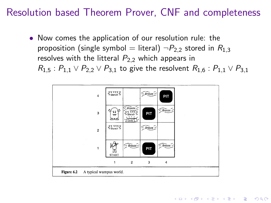• Now comes the application of our resolution rule: the proposition (single symbol = literal)  $\neg P_{2,2}$  stored in  $R_{1,3}$ resolves with the litteral  $P_{2,2}$  which appears in  $R_{1.5}$ :  $P_{1.1} \vee P_{2.2} \vee P_{3.1}$  to give the resolvent  $R_{1.6}$ :  $P_{1.1} \vee P_{3.1}$ 

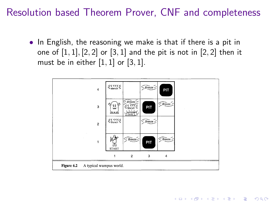• In English, the reasoning we make is that if there is a pit in one of  $[1, 1]$ ,  $[2, 2]$  or  $[3, 1]$  and the pit is not in  $[2, 2]$  then it must be in either  $[1, 1]$  or  $[3, 1]$ .

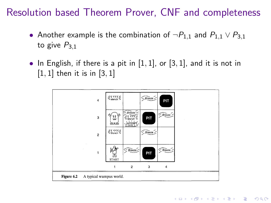- Another example is the combination of  $\neg P_{1,1}$  and  $P_{1,1} \vee P_{3,1}$ to give  $P_{3,1}$
- In English, if there is a pit in  $[1, 1]$ , or  $[3, 1]$ , and it is not in  $[1, 1]$  then it is in  $[3, 1]$

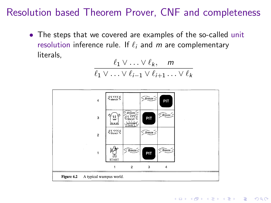• The steps that we covered are examples of the so-called unit resolution inference rule. If  $\ell_i$  and m are complementary literals,

$$
\frac{\ell_1 \vee \ldots \vee \ell_k, \quad m}{\ell_1 \vee \ldots \vee \ell_{i-1} \vee \ell_{i+1} \ldots \vee \ell_k}
$$

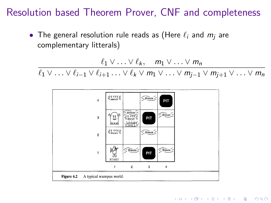• The general resolution rule reads as (Here  $\ell_i$  and  $m_i$  are complementary litterals)

$$
\ell_1 \vee \ldots \vee \ell_k, \quad m_1 \vee \ldots \vee m_n
$$

 $\ell_1 \vee \ldots \vee \ell_{i-1} \vee \ell_{i+1} \ldots \vee \ell_k \vee m_1 \vee \ldots \vee m_{i-1} \vee m_{i+1} \vee \ldots \vee m_n$ 

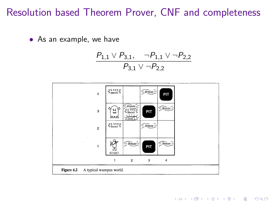• As an example, we have

$$
\frac{P_{1,1} \vee P_{3,1}, \neg P_{1,1} \vee \neg P_{2,2}}{P_{3,1} \vee \neg P_{2,2}}
$$



**KOD KARD KED KED E YORA**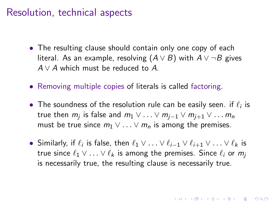#### Resolution, technical aspects

- The resulting clause should contain only one copy of each literal. As an example, resolving  $(A \vee B)$  with  $A \vee \neg B$  gives  $A \vee A$  which must be reduced to A.
- Removing multiple copies of literals is called factoring.
- The soundness of the resolution rule can be easily seen. if  $\ell_i$  is true then  $m_j$  is false and  $m_1 \vee \ldots \vee m_{j-1} \vee m_{j+1} \vee \ldots m_n$ must be true since  $m_1 \vee \ldots \vee m_n$  is among the premises.
- Similarly, if  $\ell_i$  is false, then  $\ell_1 \vee \ldots \vee \ell_{i-1} \vee \ell_{i+1} \vee \ldots \vee \ell_k$  is true since  $\ell_1 \vee \ldots \vee \ell_k$  is among the premises. Since  $\ell_i$  or  $m_i$ is necessarily true, the resulting clause is necessarily true.

**AD A 4 4 4 5 A 5 A 5 A 4 D A 4 D A 4 P A 4 5 A 4 5 A 5 A 4 A 4 A 4 A**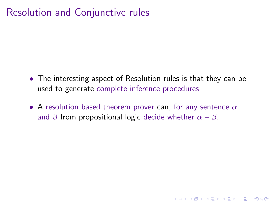- The interesting aspect of Resolution rules is that they can be used to generate complete inference procedures
- A resolution based theorem prover can, for any sentence  $\alpha$ and  $\beta$  from propositional logic decide whether  $\alpha \models \beta$ .

**KORK ERKER ADE YOUR**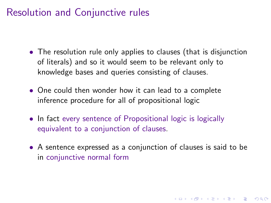- The resolution rule only applies to clauses (that is disjunction of literals) and so it would seem to be relevant only to knowledge bases and queries consisting of clauses.
- One could then wonder how it can lead to a complete inference procedure for all of propositional logic
- In fact every sentence of Propositional logic is logically equivalent to a conjunction of clauses.
- A sentence expressed as a conjunction of clauses is said to be in conjunctive normal form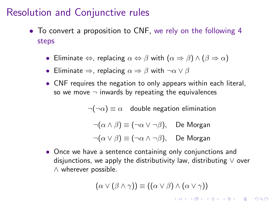- To convert a proposition to CNF, we rely on the following 4 steps
	- Eliminate  $\Leftrightarrow$ , replacing  $\alpha \Leftrightarrow \beta$  with  $(\alpha \Rightarrow \beta) \wedge (\beta \Rightarrow \alpha)$
	- Eliminate  $\Rightarrow$ , replacing  $\alpha \Rightarrow \beta$  with  $\neg \alpha \vee \beta$
	- CNF requires the negation to only appears within each literal, so we move  $\neg$  inwards by repeating the equivalences

 $\neg(\neg \alpha) \equiv \alpha$  double negation elimination

 $\neg(\alpha \land \beta) \equiv (\neg \alpha \lor \neg \beta)$ , De Morgan

$$
\neg(\alpha \vee \beta) \equiv (\neg \alpha \wedge \neg \beta), \quad \text{De Morgan}
$$

• Once we have a sentence containing only conjunctions and disjunctions, we apply the distributivity law, distributing  $\vee$  over ∧ wherever possible.

$$
(\alpha \vee (\beta \wedge \gamma)) \equiv ((\alpha \vee \beta) \wedge (\alpha \vee \gamma))
$$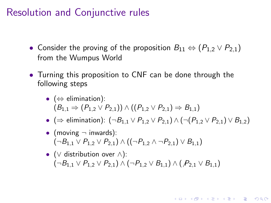- Consider the proving of the proposition  $B_{11} \Leftrightarrow (P_{1,2} \vee P_{2,1})$ from the Wumpus World
- Turning this proposition to CNF can be done through the following steps
	- $(\Leftrightarrow$  elimination):  $(B_{1,1} \Rightarrow (P_1 \circ \vee P_2)) \wedge ((P_1 \circ \vee P_2)) \Rightarrow B_{1,1})$
	- (⇒ elimination):  $(¬B<sub>1,1</sub> ∨ P<sub>1,2</sub> ∨ P<sub>2,1</sub>) ∧ (¬(P<sub>1,2</sub> ∨ P<sub>2,1</sub>) ∨ B<sub>1,2</sub>)$

**KORK ERKER ADE YOUR** 

- (moving  $\neg$  inwards):  $(\neg B_{1,1} \vee P_{1,2} \vee P_{2,1}) \wedge ((\neg P_{1,2} \wedge \neg P_{2,1}) \vee B_{1,1})$
- ( $\vee$  distribution over  $\wedge$ ):  $(\neg B_{1,1} \lor P_{1,2} \lor P_{2,1}) \land (\neg P_{1,2} \lor B_{1,1}) \land (P_{2,1} \lor B_{1,1})$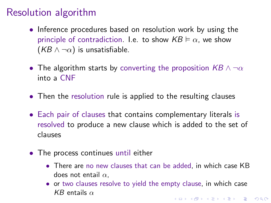## Resolution algorithm

- Inference procedures based on resolution work by using the principle of contradiction. I.e. to show  $KB \vDash \alpha$ , we show  $(KB \wedge \neg \alpha)$  is unsatisfiable.
- The algorithm starts by converting the proposition  $KB \wedge \neg \alpha$ into a CNF
- Then the resolution rule is applied to the resulting clauses
- Each pair of clauses that contains complementary literals is resolved to produce a new clause which is added to the set of clauses
- The process continues until either
	- There are no new clauses that can be added, in which case KB does not entail  $\alpha$ .
	- or two clauses resolve to yield the empty clause, in which case KB entails  $\alpha$ **KORKAR KERKER E VOOR**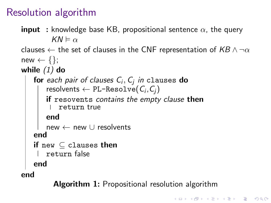## Resolution algorithm

```
input : knowledge base KB, propositional sentence \alpha, the query
           KN \vDash \alphaclauses \leftarrow the set of clauses in the CNF representation of KB \land \neg \alphanew \leftarrow \{\}:
while (1) do
     for each pair of clauses \mathsf{C}_i, \mathsf{C}_j in <code>clauses</code> do
         resolvents \leftarrow PL-Resolve(\textit{C}_{i}, \textit{C}_{j})\parallel if resovents contains the empty clause then
         return true
        end
     new ← new ∪ resolvents
    end
     if {\tt new\subseteq} <code>clauses</code> then
         return false
    end
end
```
Algorithm 1: Propositional resolution algorithm

**K ロ ▶ K @ ▶ K 할 X X 할 X 및 할 X X Q Q O**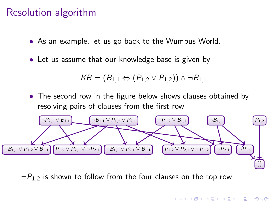#### Resolution algorithm

- As an example, let us go back to the Wumpus World.
- Let us assume that our knowledge base is given by

$$
\mathsf{KB} = (B_{1,1} \Leftrightarrow (P_{1,2} \vee P_{1,2})) \wedge \neg B_{1,1}
$$

• The second row in the figure below shows clauses obtained by resolving pairs of clauses from the first row



 $\neg P_{1,2}$  is shown to follow from the four clauses on the top row.

**KORK ERKER ADE YOUR**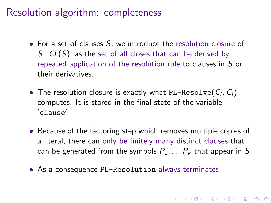#### Resolution algorithm: completeness

- For a set of clauses S, we introduce the resolution closure of S:  $CL(S)$ , as the set of all closes that can be derived by repeated application of the resolution rule to clauses in S or their derivatives.
- $\bullet$  The resolution closure is exactly what PL-Resolve $(\mathcal{C}_i, \mathcal{C}_j)$ computes. It is stored in the final state of the variable  $\prime$ clause $^\prime$
- Because of the factoring step which removes multiple copies of a literal, there can only be finitely many distinct clauses that can be generated from the symbols  $P_1, \ldots, P_k$  that appear in S

**KORKAR KERKER E VOOR** 

• As a consequence PL-Resolution always terminates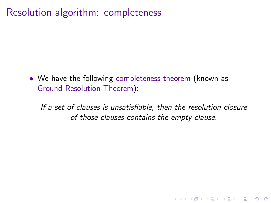### Resolution algorithm: completeness

• We have the following completeness theorem (known as Ground Resolution Theorem):

If a set of clauses is unsatisfiable, then the resolution closure of those clauses contains the empty clause.

**KORK ERKER ADE YOUR**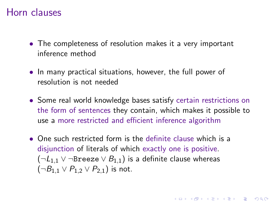#### Horn clauses

- The completeness of resolution makes it a very important inference method
- In many practical situations, however, the full power of resolution is not needed
- Some real world knowledge bases satisfy certain restrictions on the form of sentences they contain, which makes it possible to use a more restricted and efficient inference algorithm

**KORK (FRAGE) EL POLO** 

• One such restricted form is the definite clause which is a disjunction of literals of which exactly one is positive.  $(\neg L_{1,1} \lor \neg$ Breeze  $\lor B_{1,1})$  is a definite clause whereas  $(\neg B_{1,1} \vee P_{1,2} \vee P_{2,1})$  is not.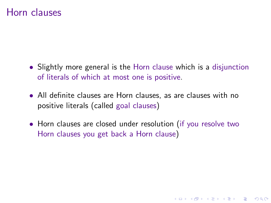#### Horn clauses

- Slightly more general is the Horn clause which is a disjunction of literals of which at most one is positive.
- All definite clauses are Horn clauses, as are clauses with no positive literals (called goal clauses)
- Horn clauses are closed under resolution (if you resolve two Horn clauses you get back a Horn clause)

**K ロ ▶ K @ ▶ K 할 X X 할 X 및 할 X X Q Q O**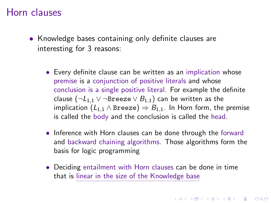#### Horn clauses

- Knowledge bases containing only definite clauses are interesting for 3 reasons:
	- Every definite clause can be written as an implication whose premise is a conjunction of positive literals and whose conclusion is a single positive literal. For example the definite clause ( $\neg L_{1,1}$  ∨  $\neg$ Breeze  $\vee$   $B_{1,1}$ ) can be written as the implication  $(L_{1,1} \wedge B_{\text{re}}) \Rightarrow B_{1,1}$ . In Horn form, the premise is called the body and the conclusion is called the head.
	- Inference with Horn clauses can be done through the forward and backward chaining algorithms. Those algorithms form the basis for logic programming
	- Deciding entailment with Horn clauses can be done in time that is linear in the size of the Knowledge base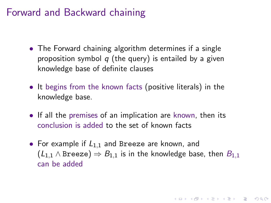- The Forward chaining algorithm determines if a single proposition symbol  $q$  (the query) is entailed by a given knowledge base of definite clauses
- It begins from the known facts (positive literals) in the knowledge base.
- If all the premises of an implication are known, then its conclusion is added to the set of known facts
- For example if  $L_{1,1}$  and Breeze are known, and  $(L_{1,1} \wedge B$ reeze)  $\Rightarrow$   $B_{1,1}$  is in the knowledge base, then  $B_{1,1}$ can be added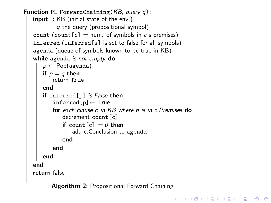```
Function PL_ForwardChaining(KB, query q):
   input : KB (initial state of the env.)
           q the query (propositional symbol)
   count (count [c] = num. of symbols in c's premises)
   inferred (inferred[s] is set to false for all symbols)
   agenda (queue of symbols known to be true in KB)
   while agenda is not empty do
      p \leftarrow Pop(agenda)
      if p = q then
       return True
      end
      if inferred[p] is False then
         inferred[p]← True
        for each clause c in KB where p is in c. Premises do
            decrement count[c]
       if count [c] = 0 then
             add c.Conclusion to agenda
            end
          end
      end
   end
   return false
```
Algorithm 2: Propositional Forward Chaining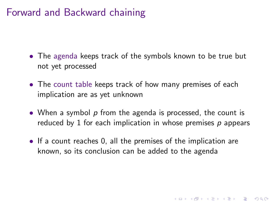- The agenda keeps track of the symbols known to be true but not yet processed
- The count table keeps track of how many premises of each implication are as yet unknown
- When a symbol  $p$  from the agenda is processed, the count is reduced by 1 for each implication in whose premises  $p$  appears
- If a count reaches 0, all the premises of the implication are known, so its conclusion can be added to the agenda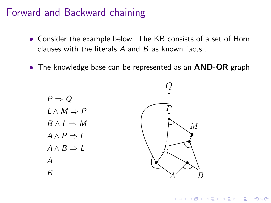- Consider the example below. The KB consists of a set of Horn clauses with the literals  $A$  and  $B$  as known facts.
- The knowledge base can be represented as an **AND-OR** graph

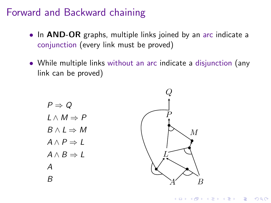- In **AND-OR** graphs, multiple links joined by an arc indicate a conjunction (every link must be proved)
- While multiple links without an arc indicate a disjunction (any link can be proved)

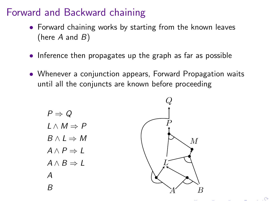- Forward chaining works by starting from the known leaves (here  $A$  and  $B$ )
- Inference then propagates up the graph as far as possible
- Whenever a conjunction appears, Forward Propagation waits until all the conjuncts are known before proceeding



 $\circ$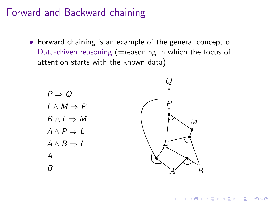• Forward chaining is an example of the general concept of Data-driven reasoning ( $=$ reasoning in which the focus of attention starts with the known data)



**KORK ERKER ADE YOUR**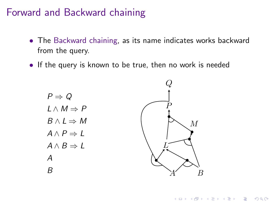- The Backward chaining, as its name indicates works backward from the query.
- If the query is known to be true, then no work is needed



**KOD KARD KED KED E YORA**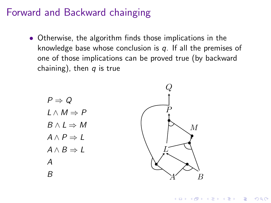• Otherwise, the algorithm finds those implications in the knowledge base whose conclusion is  $q$ . If all the premises of one of those implications can be proved true (by backward chaining), then  $q$  is true





**KORK ERKER ADE YOUR**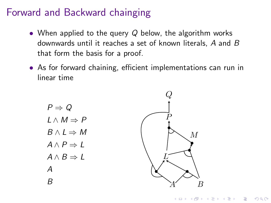- When applied to the query  $Q$  below, the algorithm works downwards until it reaches a set of known literals, A and B that form the basis for a proof.
- As for forward chaining, efficient implementations can run in linear time

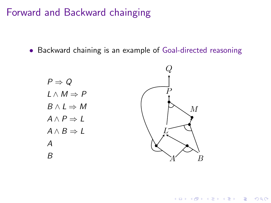• Backward chaining is an example of Goal-directed reasoning



K ロ ▶ K @ ▶ K 할 > K 할 > 1 할 > 1 이익어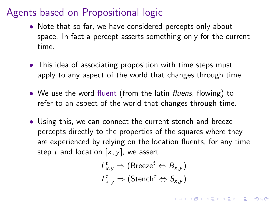- Note that so far, we have considered percepts only about space. In fact a percept asserts something only for the current time.
- This idea of associating proposition with time steps must apply to any aspect of the world that changes through time
- We use the word fluent (from the latin fluens, flowing) to refer to an aspect of the world that changes through time.
- Using this, we can connect the current stench and breeze percepts directly to the properties of the squares where they are experienced by relying on the location fluents, for any time step t and location  $[x, y]$ , we assert

$$
\begin{aligned} L_{x,y}^t &\Rightarrow (\text{Breeze}^t \Leftrightarrow B_{x,y}) \\ L_{x,y}^t &\Rightarrow (\text{Stench}^t \Leftrightarrow S_{x,y}) \end{aligned}
$$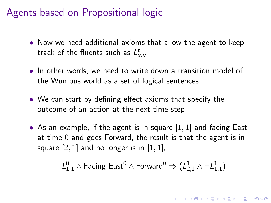- Now we need additional axioms that allow the agent to keep track of the fluents such as  $L^t_{\mathsf{x}, \mathsf{y}}$
- In other words, we need to write down a transition model of the Wumpus world as a set of logical sentences
- We can start by defining effect axioms that specify the outcome of an action at the next time step
- As an example, if the agent is in square  $[1, 1]$  and facing East at time 0 and goes Forward, the result is that the agent is in square  $[2, 1]$  and no longer is in  $[1, 1]$ ,

$$
\mathcal{L}_{1,1}^0 \wedge \mathsf{Facing}\ \mathsf{East}^0 \wedge \mathsf{Forward}^0 \Rightarrow (\mathcal{L}_{2,1}^1 \wedge \neg \mathcal{L}_{1,1}^1)
$$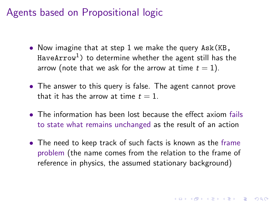- Now imagine that at step 1 we make the query Ask (KB, HaveArrow<sup>1</sup>) to determine whether the agent still has the arrow (note that we ask for the arrow at time  $t = 1$ ).
- The answer to this query is false. The agent cannot prove that it has the arrow at time  $t = 1$ .
- The information has been lost because the effect axiom fails to state what remains unchanged as the result of an action
- The need to keep track of such facts is known as the frame problem (the name comes from the relation to the frame of reference in physics, the assumed stationary background)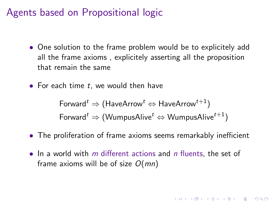- One solution to the frame problem would be to explicitely add all the frame axioms , explicitely asserting all the proposition that remain the same
- For each time  $t$ , we would then have

Forward<sup>t</sup>  $\Rightarrow$  (HaveArrow<sup>t</sup>  $\Leftrightarrow$  HaveArrow<sup>t+1</sup>) Forward<sup>t</sup>  $\Rightarrow$  (WumpusAlive<sup>t</sup>  $\Leftrightarrow$  WumpusAlive<sup>t+1</sup>)

- The proliferation of frame axioms seems remarkably inefficient
- In a world with  $m$  different actions and  $n$  fluents, the set of frame axioms will be of size  $O(mn)$

KID KA KERKER KID KO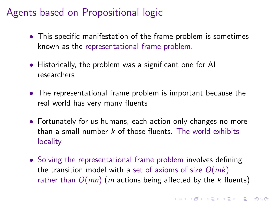- This specific manifestation of the frame problem is sometimes known as the representational frame problem.
- Historically, the problem was a significant one for AI researchers
- The representational frame problem is important because the real world has very many fluents
- Fortunately for us humans, each action only changes no more than a small number  $k$  of those fluents. The world exhibits locality
- Solving the representational frame problem involves defining the transition model with a set of axioms of size  $O(mk)$ rather than  $O(mn)$  (m actions being affected by the k fluents)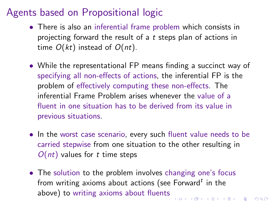- <span id="page-45-0"></span>• There is also an inferential frame problem which consists in projecting forward the result of a t steps plan of actions in time  $O(kt)$  instead of  $O(nt)$ .
- While the representational FP means finding a succinct way of specifying all non-effects of actions, the inferential FP is the problem of effectively computing these non-effects. The inferential Frame Problem arises whenever the value of a fluent in one situation has to be derived from its value in previous situations.
- In the worst case scenario, every such fluent value needs to be carried stepwise from one situation to the other resulting in  $O(nt)$  values for t time steps
- The solution to the problem involves changing one's focus from writing axioms about actions (see Forward $^t$  in the above) to writing axioms about fluents**KOD KAD KED KED E MAG**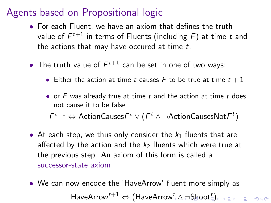- <span id="page-46-0"></span>• For each Fluent, we have an axiom that defines the truth value of  $\mathcal{F}^{t+1}$  in terms of Fluents (including  $\mathcal{F})$  at time  $t$  and the actions that may have occured at time t.
- The truth value of  $F^{t+1}$  can be set in one of two ways:
	- Either the action at time t causes F to be true at time  $t + 1$
	- or  $F$  was already true at time  $t$  and the action at time  $t$  does not cause it to be false  $\digamma^{t+1} \Leftrightarrow$  ActionCauses $\digamma^t \vee (\digamma^t \wedge \neg \text{ActionCausesNot} \digamma^t)$
- At each step, we thus only consider the  $k_1$  fluents that are affected by the action and the  $k_2$  fluents which were true at the previous step. An axiom of this form is called a successor-state axiom
- We can now encode the 'HaveArrow' fluent more simply as  $\mathsf{HaveArrow}^{t+1}\Leftrightarrow (\mathsf{HaveArrow}^t\mathbin{\lrcorner}\mathbin{\vartriangle}\lnot\mathsf{Show}^t\mathbin{\lrcorner})$  $\mathsf{HaveArrow}^{t+1}\Leftrightarrow (\mathsf{HaveArrow}^t\mathbin{\lrcorner}\mathbin{\vartriangle}\lnot\mathsf{Show}^t\mathbin{\lrcorner})$  $\mathsf{HaveArrow}^{t+1}\Leftrightarrow (\mathsf{HaveArrow}^t\mathbin{\lrcorner}\mathbin{\vartriangle}\lnot\mathsf{Show}^t\mathbin{\lrcorner})$  $\mathsf{HaveArrow}^{t+1}\Leftrightarrow (\mathsf{HaveArrow}^t\mathbin{\lrcorner}\mathbin{\vartriangle}\lnot\mathsf{Show}^t\mathbin{\lrcorner})$  $\mathsf{HaveArrow}^{t+1}\Leftrightarrow (\mathsf{HaveArrow}^t\mathbin{\lrcorner}\mathbin{\vartriangle}\lnot\mathsf{Show}^t\mathbin{\lrcorner})$  $\mathsf{HaveArrow}^{t+1}\Leftrightarrow (\mathsf{HaveArrow}^t\mathbin{\lrcorner}\mathbin{\vartriangle}\lnot\mathsf{Show}^t\mathbin{\lrcorner})$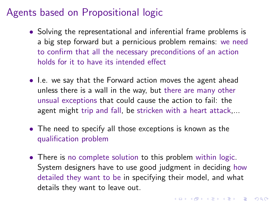- <span id="page-47-0"></span>• Solving the representational and inferential frame problems is a big step forward but a pernicious problem remains: we need to confirm that all the necessary preconditions of an action holds for it to have its intended effect
- I.e. we say that the Forward action moves the agent ahead unless there is a wall in the way, but there are many other unsual exceptions that could cause the action to fail: the agent might trip and fall, be stricken with a heart attack,...
- The need to specify all those exceptions is known as the qualification problem
- There is no complete solution to this problem within logic. System designers have to use good judgment in deciding how detailed they want to be in specifying their model, and what details they want to leave out.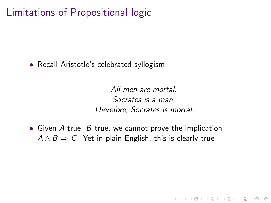### Limitations of Propositional logic

• Recall Aristotle's celebrated syllogism

All men are mortal. Socrates is a man. Therefore, Socrates is mortal.

**KORK ERKER ADE YOUR** 

• Given A true, B true, we cannot prove the implication  $A \wedge B \Rightarrow C$ . Yet in plain English, this is clearly true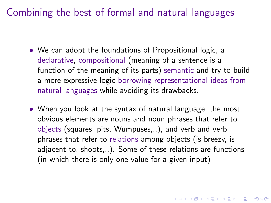Combining the best of formal and natural languages

- We can adopt the foundations of Propositional logic, a declarative, compositional (meaning of a sentence is a function of the meaning of its parts) semantic and try to build a more expressive logic borrowing representational ideas from natural languages while avoiding its drawbacks.
- When you look at the syntax of natural language, the most obvious elements are nouns and noun phrases that refer to objects (squares, pits, Wumpuses,..), and verb and verb phrases that refer to relations among objects (is breezy, is adjacent to, shoots,..). Some of these relations are functions (in which there is only one value for a given input)

KID KA KERKER KID KO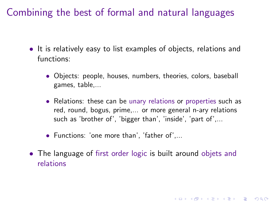<span id="page-50-0"></span>Combining the best of formal and natural languages

- It is relatively easy to list examples of objects, relations and functions:
	- Objects: people, houses, numbers, theories, colors, baseball games, table,...
	- Relations: these can be unary relations or properties such as red, round, bogus, prime,... or more general n-ary relations such as 'brother of', 'bigger than', 'inside', 'part of',...

**K ロ ▶ K @ ▶ K 할 X X 할 X 및 할 X X Q Q O** 

- Functions: 'one more than', 'father of',...
- The language of first order logic is built around objets and relations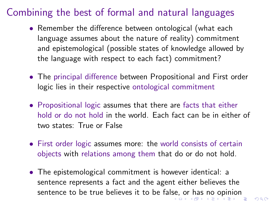## <span id="page-51-0"></span>Combining the best of formal and natural languages

- Remember the difference between ontological (what each language assumes about the nature of reality) commitment and epistemological (possible states of knowledge allowed by the language with respect to each fact) commitment?
- The principal difference between Propositional and First order logic lies in their respective ontological commitment
- Propositional logic assumes that there are facts that either hold or do not hold in the world. Each fact can be in either of two states: True or False
- First order logic assumes more: the world consists of certain objects with relations among them that do or do not hold.
- The epistemological commitment is however identical: a sentence represents a fact and the agent either believes the sentence to be true believes it to be fal[se,](#page-50-0) [or](#page-52-0)[ha](#page-51-0)[s](#page-52-0) [no](#page-0-0) [o](#page-64-0)[pi](#page-0-0)[nio](#page-64-0)[n](#page-0-0)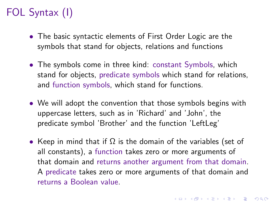# <span id="page-52-0"></span>FOL Syntax (I)

- The basic syntactic elements of First Order Logic are the symbols that stand for objects, relations and functions
- The symbols come in three kind: constant Symbols, which stand for objects, predicate symbols which stand for relations, and function symbols, which stand for functions.
- We will adopt the convention that those symbols begins with uppercase letters, such as in 'Richard' and 'John', the predicate symbol 'Brother' and the function 'LeftLeg'
- Keep in mind that if  $\Omega$  is the domain of the variables (set of all constants), a function takes zero or more arguments of that domain and returns another argument from that domain. A predicate takes zero or more arguments of that domain and returns a Boolean value.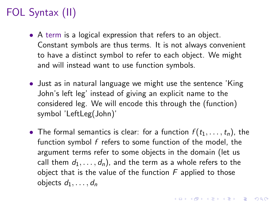# FOL Syntax (II)

- A term is a logical expression that refers to an object. Constant symbols are thus terms. It is not always convenient to have a distinct symbol to refer to each object. We might and will instead want to use function symbols.
- Just as in natural language we might use the sentence 'King John's left leg' instead of giving an explicit name to the considered leg. We will encode this through the (function) symbol 'LeftLeg(John)'
- The formal semantics is clear: for a function  $f(t_1, \ldots, t_n)$ , the function symbol f refers to some function of the model, the argument terms refer to some objects in the domain (let us call them  $d_1, \ldots, d_n$ , and the term as a whole refers to the object that is the value of the function  $F$  applied to those objects  $d_1, \ldots, d_n$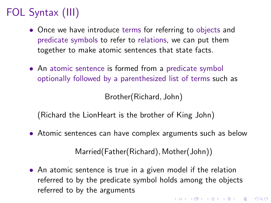# FOL Syntax (III)

- Once we have introduce terms for referring to objects and predicate symbols to refer to relations, we can put them together to make atomic sentences that state facts.
- An atomic sentence is formed from a predicate symbol optionally followed by a parenthesized list of terms such as

Brother(Richard, John)

(Richard the LionHeart is the brother of King John)

• Atomic sentences can have complex arguments such as below

Married(Father(Richard), Mother(John))

• An atomic sentence is true in a given model if the relation referred to by the predicate symbol holds among the objects referred to by the arguments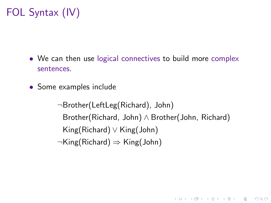# FOL Syntax (IV)

- We can then use logical connectives to build more complex sentences.
- Some examples include

¬Brother(LeftLeg(Richard), John) Brother(Richard, John) ∧ Brother(John, Richard) King(Richard) ∨ King(John) ¬King(Richard) ⇒ King(John)

**KORK ERKER ADE YOUR**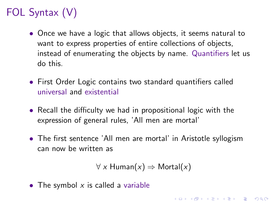# FOL Syntax (V)

- Once we have a logic that allows objects, it seems natural to want to express properties of entire collections of objects, instead of enumerating the objects by name. Quantifiers let us do this.
- First Order Logic contains two standard quantifiers called universal and existential
- Recall the difficulty we had in propositional logic with the expression of general rules, 'All men are mortal'
- The first sentence 'All men are mortal' in Aristotle syllogism can now be written as

```
\forall x Human(x) \Rightarrow Mortal(x)
```
**KORKAR KERKER E VOOR** 

• The symbol  $x$  is called a variable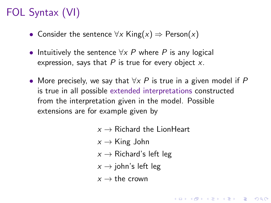# FOL Syntax (VI)

- Consider the sentence  $\forall x$  King $(x) \Rightarrow$  Person $(x)$
- Intuitively the sentence  $\forall x P$  where P is any logical expression, says that  $P$  is true for every object  $x$ .
- More precisely, we say that  $\forall x P$  is true in a given model if P is true in all possible extended interpretations constructed from the interpretation given in the model. Possible extensions are for example given by
	- $x \rightarrow$  Richard the LionHeart

- $x \rightarrow$  King John
- $x \rightarrow$  Richard's left leg
- $x \rightarrow$  john's left leg
- $x \rightarrow$  the crown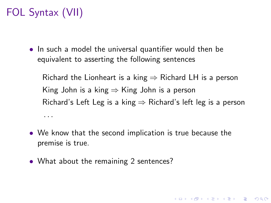# FOL Syntax (VII)

• In such a model the universal quantifier would then be equivalent to asserting the following sentences

Richard the Lionheart is a king  $\Rightarrow$  Richard LH is a person King John is a king  $\Rightarrow$  King John is a person Richard's Left Leg is a king  $\Rightarrow$  Richard's left leg is a person . . .

- We know that the second implication is true because the premise is true.
- What about the remaining 2 sentences?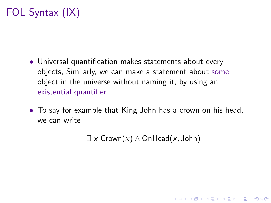# FOL Syntax (IX)

- Universal quantification makes statements about every objects, Similarly, we can make a statement about some object in the universe without naming it, by using an existential quantifier
- To say for example that King John has a crown on his head, we can write

 $\exists x \text{Crown}(x) \land \text{OnHead}(x, \text{John})$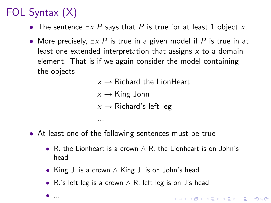# FOL Syntax (X)

• ...

- The sentence  $\exists x \ P$  says that P is true for at least 1 object x.
- More precisely,  $\exists x \ P$  is true in a given model if P is true in at least one extended interpretation that assigns  $x$  to a domain element. That is if we again consider the model containing the objects

 $x \rightarrow$  Richard the LionHeart  $x \rightarrow$  King John  $x \rightarrow$  Richard's left leg

• At least one of the following sentences must be true

...

- R. the Lionheart is a crown ∧ R. the Lionheart is on John's head
- King J. is a crown ∧ King J. is on John's head
- R.'s left leg is a crown ∧ R. left leg is on J's head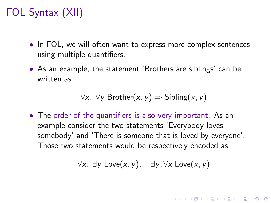# FOL Syntax (XII)

- In FOL, we will often want to express more complex sentences using multiple quantifiers.
- As an example, the statement 'Brothers are siblings' can be written as

 $\forall x, \forall y$  Brother $(x, y) \Rightarrow$  Sibling $(x, y)$ 

• The order of the quantifiers is also very important. As an example consider the two statements 'Everybody loves somebody' and 'There is someone that is loved by everyone'. Those two statements would be respectively encoded as

$$
\forall x, \; \exists y \; \mathsf{Love}(x,y), \quad \exists y, \forall x \; \mathsf{Love}(x,y)
$$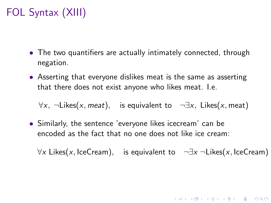# FOL Syntax (XIII)

- The two quantifiers are actually intimately connected, through negation.
- Asserting that everyone dislikes meat is the same as asserting that there does not exist anyone who likes meat. I.e.

 $\forall x, \neg$ Likes(x, meat), is equivalent to  $\neg \exists x, \exists x \in A$  Likes(x, meat)

• Similarly, the sentence 'everyone likes icecream' can be encoded as the fact that no one does not like ice cream:

 $\forall x$  Likes(x, IceCream), is equivalent to  $\neg \exists x \neg$ Likes(x, IceCream)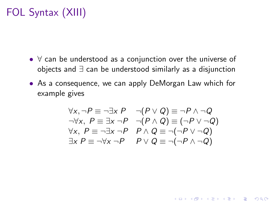# FOL Syntax (XIII)

- ∀ can be understood as a conjunction over the universe of objects and ∃ can be understood similarly as a disjunction
- As a consequence, we can apply DeMorgan Law which for example gives

$$
\forall x, \neg P \equiv \neg \exists x \ P \qquad \neg (P \lor Q) \equiv \neg P \land \neg Q
$$
  
\n
$$
\neg \forall x, \ P \equiv \exists x \ \neg P \qquad \neg (P \land Q) \equiv (\neg P \lor \neg Q)
$$
  
\n
$$
\forall x, \ P \equiv \neg \exists x \ \neg P \qquad P \land Q \equiv \neg (\neg P \lor \neg Q)
$$
  
\n
$$
\exists x \ P \equiv \neg \forall x \ \neg P \qquad P \lor Q \equiv \neg (\neg P \land \neg Q)
$$

**K ロ ▶ K @ ▶ K 할 X X 할 X 및 할 X X Q Q O**